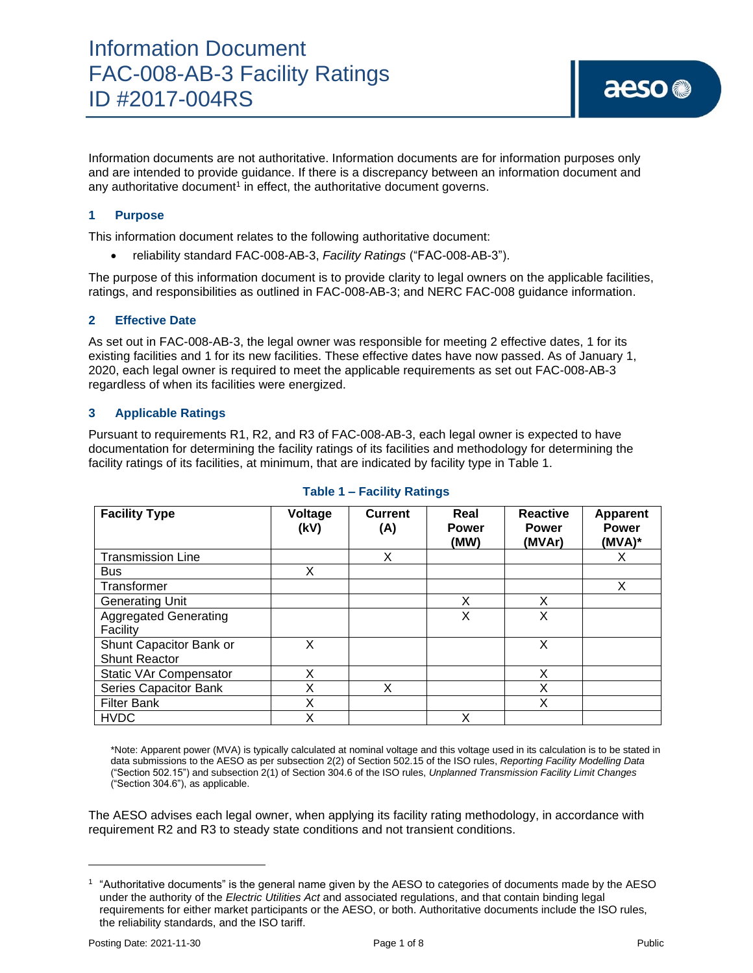Information documents are not authoritative. Information documents are for information purposes only and are intended to provide guidance. If there is a discrepancy between an information document and any authoritative document<sup>1</sup> in effect, the authoritative document governs.

# **1 Purpose**

This information document relates to the following authoritative document:

• reliability standard FAC-008-AB-3, *Facility Ratings* ("FAC-008-AB-3").

The purpose of this information document is to provide clarity to legal owners on the applicable facilities, ratings, and responsibilities as outlined in FAC-008-AB-3; and NERC FAC-008 guidance information.

### **2 Effective Date**

As set out in FAC-008-AB-3, the legal owner was responsible for meeting 2 effective dates, 1 for its existing facilities and 1 for its new facilities. These effective dates have now passed. As of January 1, 2020, each legal owner is required to meet the applicable requirements as set out FAC-008-AB-3 regardless of when its facilities were energized.

### **3 Applicable Ratings**

Pursuant to requirements R1, R2, and R3 of FAC-008-AB-3, each legal owner is expected to have documentation for determining the facility ratings of its facilities and methodology for determining the facility ratings of its facilities, at minimum, that are indicated by facility type in Table 1.

| <b>Facility Type</b>                            | Voltage<br>(kV) | <b>Current</b><br>(A) | Real<br><b>Power</b><br>(MW) | <b>Reactive</b><br><b>Power</b><br>(MVAr) | <b>Apparent</b><br><b>Power</b><br>$(MVA)^*$ |
|-------------------------------------------------|-----------------|-----------------------|------------------------------|-------------------------------------------|----------------------------------------------|
| <b>Transmission Line</b>                        |                 | X                     |                              |                                           | X                                            |
| <b>Bus</b>                                      | х               |                       |                              |                                           |                                              |
| Transformer                                     |                 |                       |                              |                                           | X                                            |
| <b>Generating Unit</b>                          |                 |                       | X                            | X                                         |                                              |
| <b>Aggregated Generating</b><br>Facility        |                 |                       | X                            | X                                         |                                              |
| Shunt Capacitor Bank or<br><b>Shunt Reactor</b> | X               |                       |                              | X                                         |                                              |
| <b>Static VAr Compensator</b>                   | х               |                       |                              | X                                         |                                              |
| Series Capacitor Bank                           | Χ               | X                     |                              | х                                         |                                              |
| <b>Filter Bank</b>                              | X               |                       |                              | X                                         |                                              |
| <b>HVDC</b>                                     | Χ               |                       | X                            |                                           |                                              |

## **Table 1 – Facility Ratings**

\*Note: Apparent power (MVA) is typically calculated at nominal voltage and this voltage used in its calculation is to be stated in data submissions to the AESO as per subsection 2(2) of Section 502.15 of the ISO rules, *Reporting Facility Modelling Data* ("Section 502.15") and subsection 2(1) of Section 304.6 of the ISO rules, *Unplanned Transmission Facility Limit Changes* ("Section 304.6"), as applicable.

The AESO advises each legal owner, when applying its facility rating methodology, in accordance with requirement R2 and R3 to steady state conditions and not transient conditions.

<sup>1</sup> "Authoritative documents" is the general name given by the AESO to categories of documents made by the AESO under the authority of the *Electric Utilities Act* and associated regulations, and that contain binding legal requirements for either market participants or the AESO, or both. Authoritative documents include the ISO rules, the reliability standards, and the ISO tariff.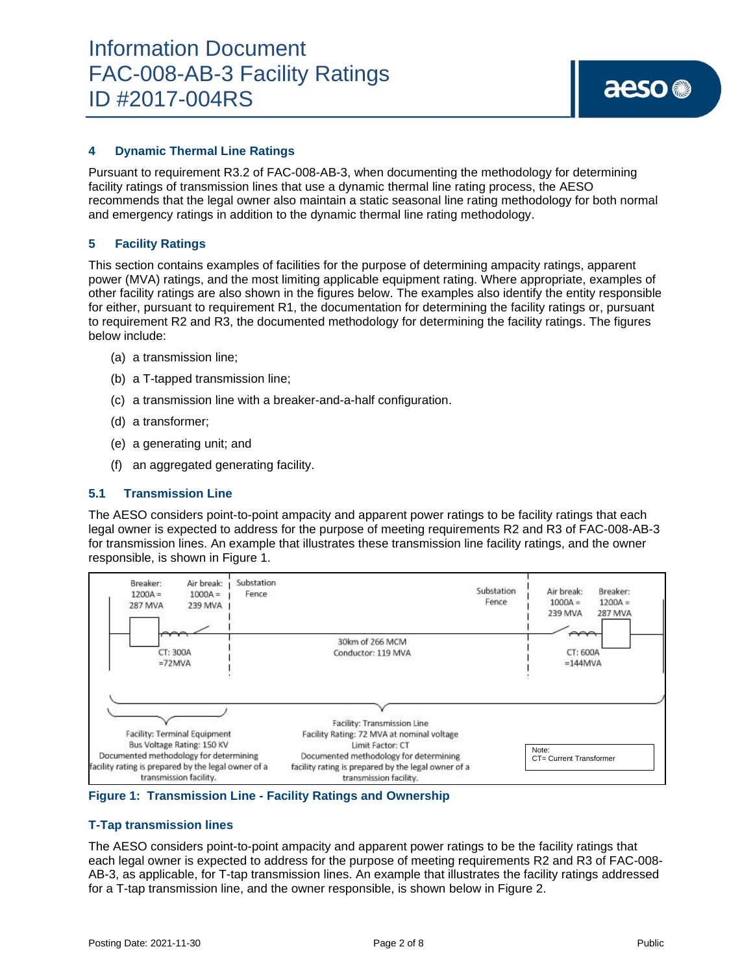## **4 Dynamic Thermal Line Ratings**

Pursuant to requirement R3.2 of FAC-008-AB-3, when documenting the methodology for determining facility ratings of transmission lines that use a dynamic thermal line rating process, the AESO recommends that the legal owner also maintain a static seasonal line rating methodology for both normal and emergency ratings in addition to the dynamic thermal line rating methodology.

## **5 Facility Ratings**

This section contains examples of facilities for the purpose of determining ampacity ratings, apparent power (MVA) ratings, and the most limiting applicable equipment rating. Where appropriate, examples of other facility ratings are also shown in the figures below. The examples also identify the entity responsible for either, pursuant to requirement R1, the documentation for determining the facility ratings or, pursuant to requirement R2 and R3, the documented methodology for determining the facility ratings. The figures below include:

- (a) a transmission line;
- (b) a T-tapped transmission line;
- (c) a transmission line with a breaker-and-a-half configuration.
- (d) a transformer;
- (e) a generating unit; and
- (f) an aggregated generating facility.

## **5.1 Transmission Line**

The AESO considers point-to-point ampacity and apparent power ratings to be facility ratings that each legal owner is expected to address for the purpose of meeting requirements R2 and R3 of FAC-008-AB-3 for transmission lines. An example that illustrates these transmission line facility ratings, and the owner responsible, is shown in Figure 1.



**Figure 1: Transmission Line - Facility Ratings and Ownership**

### **T-Tap transmission lines**

The AESO considers point-to-point ampacity and apparent power ratings to be the facility ratings that each legal owner is expected to address for the purpose of meeting requirements R2 and R3 of FAC-008- AB-3, as applicable, for T-tap transmission lines. An example that illustrates the facility ratings addressed for a T-tap transmission line, and the owner responsible, is shown below in Figure 2.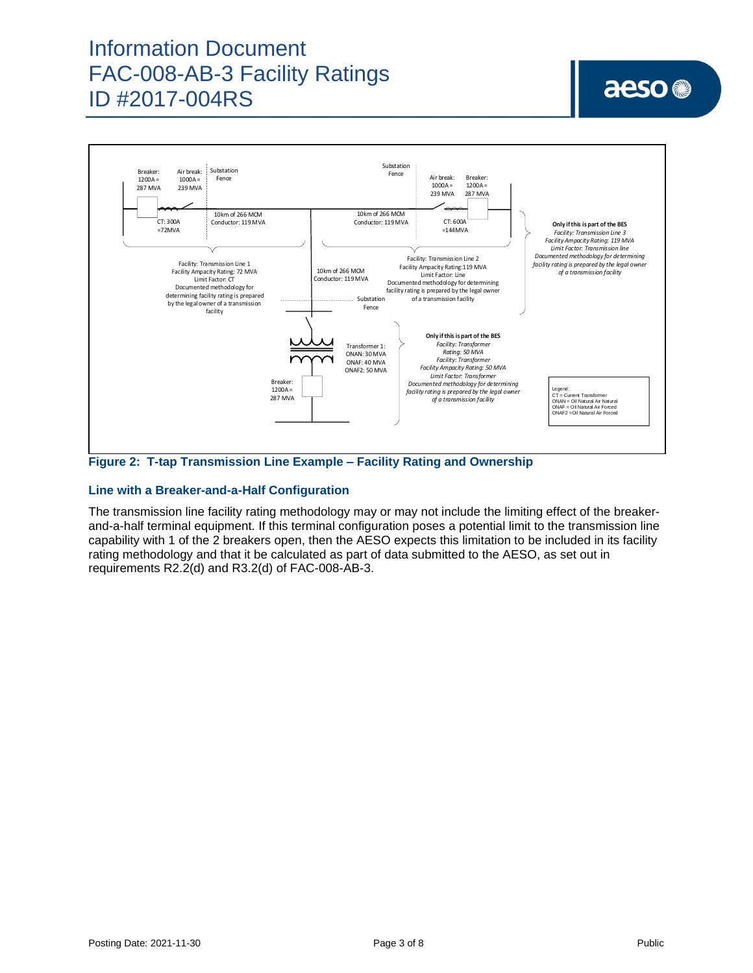# Information Document FAC-008-AB-3 Facility Ratings ID #2017-004RS

# aeso<sup>®</sup>



**Figure 2: T-tap Transmission Line Example – Facility Rating and Ownership**

# **Line with a Breaker-and-a-Half Configuration**

The transmission line facility rating methodology may or may not include the limiting effect of the breakerand-a-half terminal equipment. If this terminal configuration poses a potential limit to the transmission line capability with 1 of the 2 breakers open, then the AESO expects this limitation to be included in its facility rating methodology and that it be calculated as part of data submitted to the AESO, as set out in requirements R2.2(d) and R3.2(d) of FAC-008-AB-3.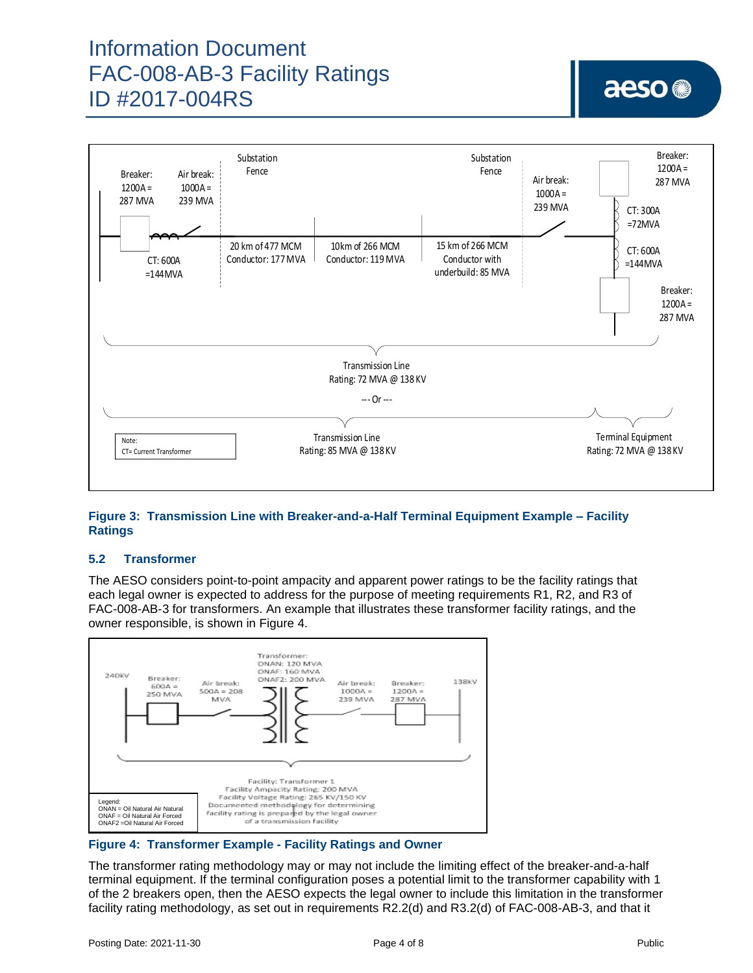# Information Document FAC-008-AB-3 Facility Ratings ID #2017-004RS



# **Figure 3: Transmission Line with Breaker-and-a-Half Terminal Equipment Example – Facility Ratings**

# **5.2 Transformer**

The AESO considers point-to-point ampacity and apparent power ratings to be the facility ratings that each legal owner is expected to address for the purpose of meeting requirements R1, R2, and R3 of FAC-008-AB-3 for transformers. An example that illustrates these transformer facility ratings, and the owner responsible, is shown in Figure 4.



### **Figure 4: Transformer Example - Facility Ratings and Owner**

The transformer rating methodology may or may not include the limiting effect of the breaker-and-a-half terminal equipment. If the terminal configuration poses a potential limit to the transformer capability with 1 of the 2 breakers open, then the AESO expects the legal owner to include this limitation in the transformer facility rating methodology, as set out in requirements R2.2(d) and R3.2(d) of FAC-008-AB-3, and that it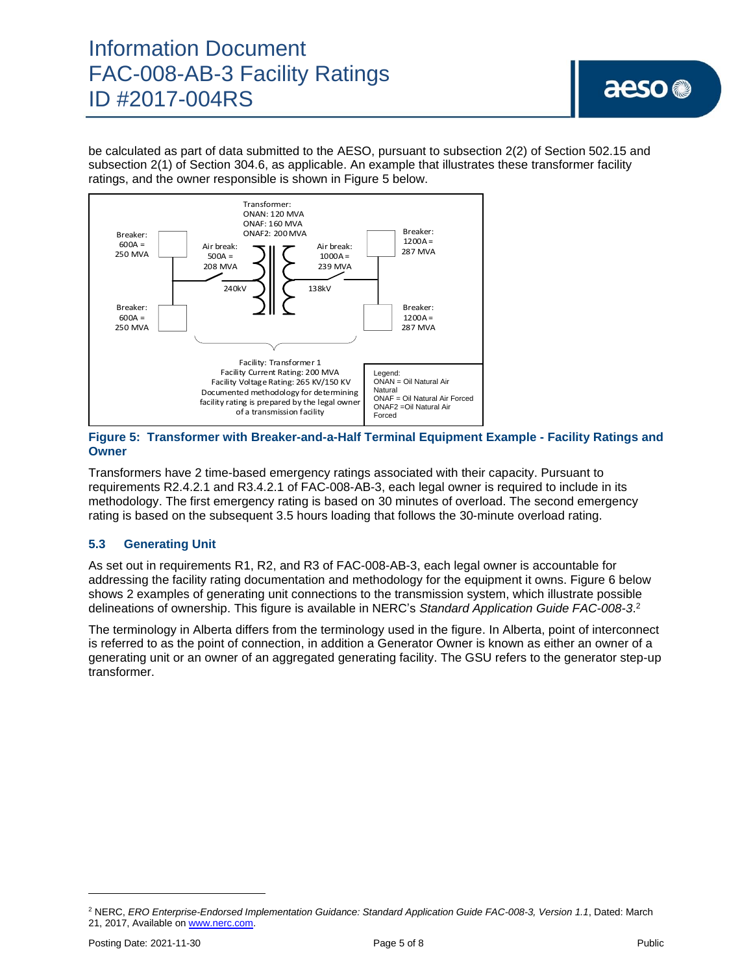# Information Document FAC-008-AB-3 Facility Ratings ID #2017-004RS

be calculated as part of data submitted to the AESO, pursuant to subsection 2(2) of Section 502.15 and subsection 2(1) of Section 304.6, as applicable. An example that illustrates these transformer facility ratings, and the owner responsible is shown in Figure 5 below.



## **Figure 5: Transformer with Breaker-and-a-Half Terminal Equipment Example - Facility Ratings and Owner**

Transformers have 2 time-based emergency ratings associated with their capacity. Pursuant to requirements R2.4.2.1 and R3.4.2.1 of FAC-008-AB-3, each legal owner is required to include in its methodology. The first emergency rating is based on 30 minutes of overload. The second emergency rating is based on the subsequent 3.5 hours loading that follows the 30-minute overload rating.

# **5.3 Generating Unit**

As set out in requirements R1, R2, and R3 of FAC-008-AB-3, each legal owner is accountable for addressing the facility rating documentation and methodology for the equipment it owns. Figure 6 below shows 2 examples of generating unit connections to the transmission system, which illustrate possible delineations of ownership. This figure is available in NERC's *Standard Application Guide FAC-008-3*. 2

The terminology in Alberta differs from the terminology used in the figure. In Alberta, point of interconnect is referred to as the point of connection, in addition a Generator Owner is known as either an owner of a generating unit or an owner of an aggregated generating facility. The GSU refers to the generator step-up transformer.

<sup>2</sup> NERC, *ERO Enterprise-Endorsed Implementation Guidance: Standard Application Guide FAC-008-3, Version 1.1*, Dated: March 21, 2017, Available on [www.nerc.com.](http://www.nerc.com/)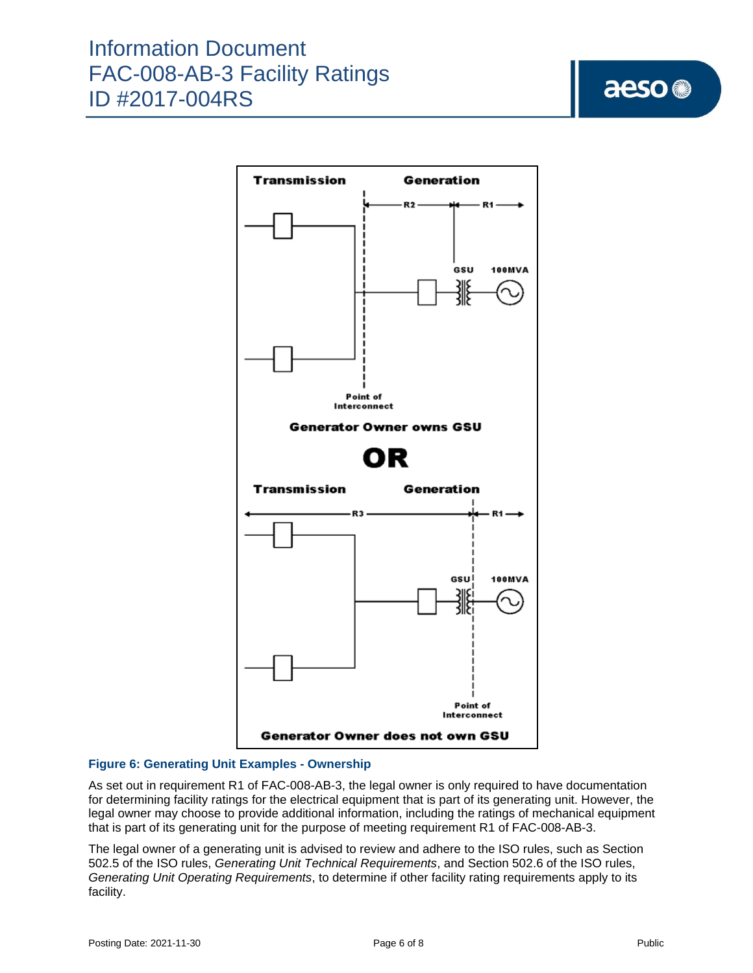# aeso<sup>®</sup>



# **Figure 6: Generating Unit Examples - Ownership**

As set out in requirement R1 of FAC-008-AB-3, the legal owner is only required to have documentation for determining facility ratings for the electrical equipment that is part of its generating unit. However, the legal owner may choose to provide additional information, including the ratings of mechanical equipment that is part of its generating unit for the purpose of meeting requirement R1 of FAC-008-AB-3.

The legal owner of a generating unit is advised to review and adhere to the ISO rules, such as Section 502.5 of the ISO rules, *Generating Unit Technical Requirements*, and Section 502.6 of the ISO rules, *Generating Unit Operating Requirements*, to determine if other facility rating requirements apply to its facility.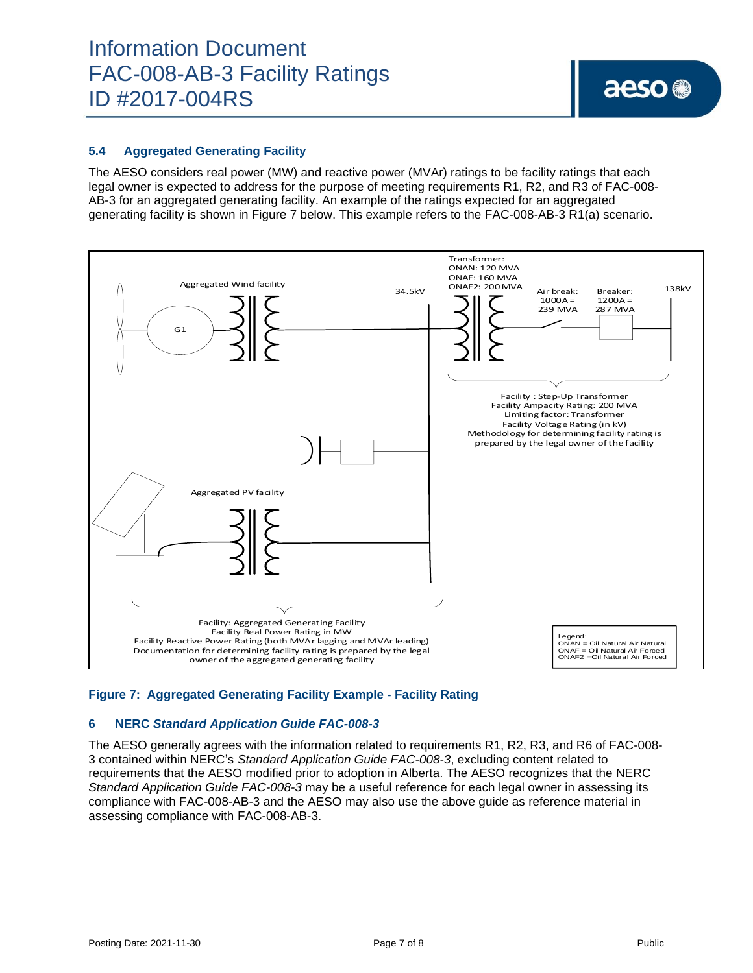# **5.4 Aggregated Generating Facility**

The AESO considers real power (MW) and reactive power (MVAr) ratings to be facility ratings that each legal owner is expected to address for the purpose of meeting requirements R1, R2, and R3 of FAC-008- AB-3 for an aggregated generating facility. An example of the ratings expected for an aggregated generating facility is shown in Figure 7 below. This example refers to the FAC-008-AB-3 R1(a) scenario.



## **Figure 7: Aggregated Generating Facility Example - Facility Rating**

### **6 NERC** *Standard Application Guide FAC-008-3*

The AESO generally agrees with the information related to requirements R1, R2, R3, and R6 of FAC-008- 3 contained within NERC's *Standard Application Guide FAC-008-3*, excluding content related to requirements that the AESO modified prior to adoption in Alberta. The AESO recognizes that the NERC *Standard Application Guide FAC-008-3* may be a useful reference for each legal owner in assessing its compliance with FAC-008-AB-3 and the AESO may also use the above guide as reference material in assessing compliance with FAC-008-AB-3.